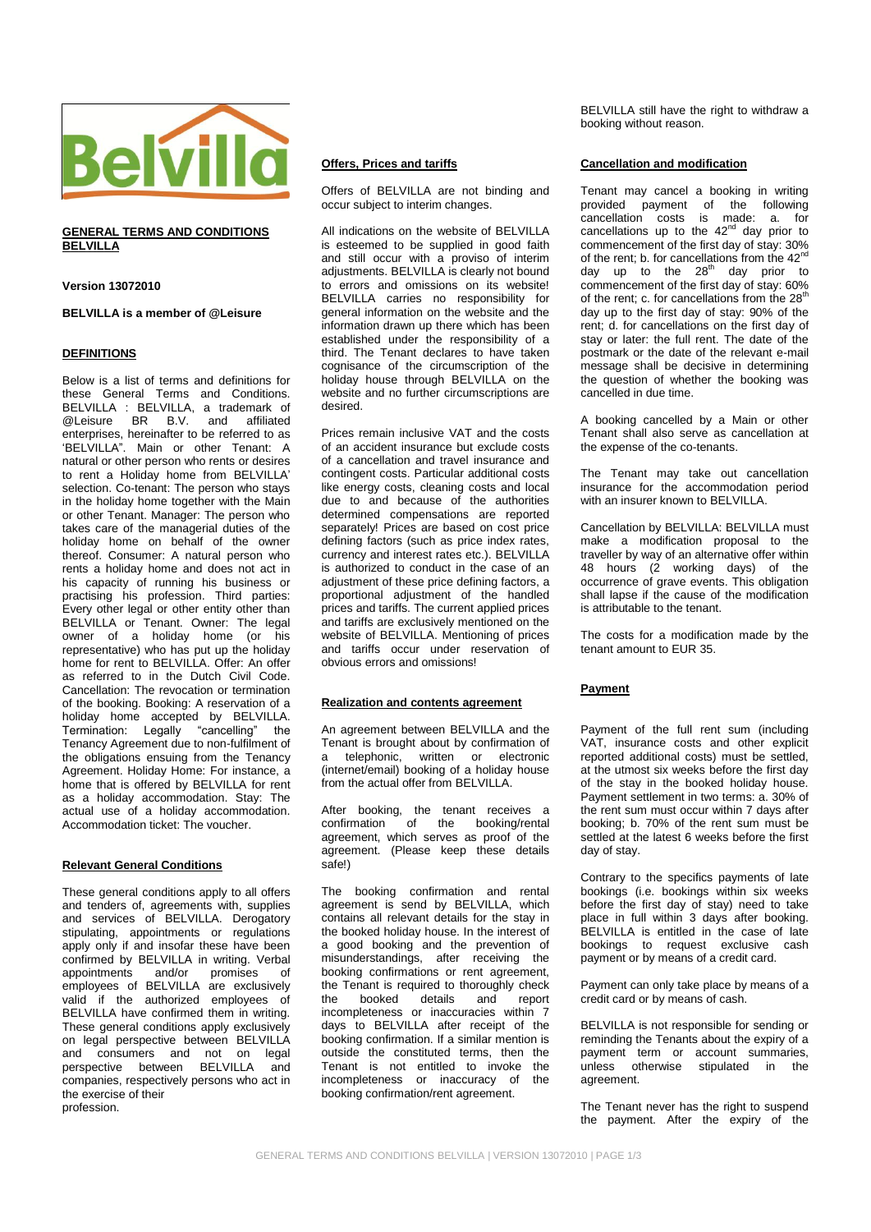

# **GENERAL TERMS AND CONDITIONS BELVILLA**

**Version 13072010**

# **BELVILLA is a member of @Leisure**

# **DEFINITIONS**

Below is a list of terms and definitions for these General Terms and Conditions. BELVILLA : BELVILLA, a trademark of<br>
@Leisure BR B.V. and affiliated  $@$ l eisure enterprises, hereinafter to be referred to as "BELVILLA". Main or other Tenant: A natural or other person who rents or desires to rent a Holiday home from BELVILLA" selection. Co-tenant: The person who stays in the holiday home together with the Main or other Tenant. Manager: The person who takes care of the managerial duties of the holiday home on behalf of the owner thereof. Consumer: A natural person who rents a holiday home and does not act in his capacity of running his business or practising his profession. Third parties: Every other legal or other entity other than BELVILLA or Tenant. Owner: The legal owner of a holiday home (or his representative) who has put up the holiday home for rent to BELVILLA. Offer: An offer as referred to in the Dutch Civil Code. Cancellation: The revocation or termination of the booking. Booking: A reservation of a holiday home accepted by BELVILLA. Termination: Legally "cancelling" the Tenancy Agreement due to non-fulfilment of the obligations ensuing from the Tenancy Agreement. Holiday Home: For instance, a home that is offered by BELVILLA for rent as a holiday accommodation. Stay: The actual use of a holiday accommodation. Accommodation ticket: The voucher.

### **Relevant General Conditions**

These general conditions apply to all offers and tenders of, agreements with, supplies and services of BELVILLA. Derogatory stipulating, appointments or regulations apply only if and insofar these have been confirmed by BELVILLA in writing. Verbal<br>appointments and/or promises of appointments and/or promises of employees of BELVILLA are exclusively valid if the authorized employees of BELVILLA have confirmed them in writing. These general conditions apply exclusively on legal perspective between BELVILLA and consumers and not on legal perspective between BELVILLA and companies, respectively persons who act in the exercise of their profession.

# **Offers, Prices and tariffs**

Offers of BELVILLA are not binding and occur subject to interim changes.

All indications on the website of BELVILLA is esteemed to be supplied in good faith and still occur with a proviso of interim adjustments. BELVILLA is clearly not bound to errors and omissions on its website! BELVILLA carries no responsibility for general information on the website and the information drawn up there which has been established under the responsibility of a third. The Tenant declares to have taken cognisance of the circumscription of the holiday house through BELVILLA on the website and no further circumscriptions are desired.

Prices remain inclusive VAT and the costs of an accident insurance but exclude costs of a cancellation and travel insurance and contingent costs. Particular additional costs like energy costs, cleaning costs and local due to and because of the authorities determined compensations are reported separately! Prices are based on cost price defining factors (such as price index rates, currency and interest rates etc.). BELVILLA is authorized to conduct in the case of an adjustment of these price defining factors, a proportional adjustment of the handled prices and tariffs. The current applied prices and tariffs are exclusively mentioned on the website of BELVILLA. Mentioning of prices and tariffs occur under reservation of obvious errors and omissions!

### **Realization and contents agreement**

An agreement between BELVILLA and the Tenant is brought about by confirmation of a telephonic, written or electronic (internet/email) booking of a holiday house from the actual offer from BELVILLA.

After booking, the tenant receives a<br>confirmation of the booking/rental booking/rental agreement, which serves as proof of the agreement. (Please keep these details safe!)

The booking confirmation and rental agreement is send by BELVILLA, which contains all relevant details for the stay in the booked holiday house. In the interest of a good booking and the prevention of misunderstandings, after receiving the booking confirmations or rent agreement, the Tenant is required to thoroughly check the booked details and report incompleteness or inaccuracies within 7 days to BELVILLA after receipt of the booking confirmation. If a similar mention is outside the constituted terms, then the Tenant is not entitled to invoke the incompleteness or inaccuracy of the booking confirmation/rent agreement.

BELVILLA still have the right to withdraw a booking without reason.

### **Cancellation and modification**

Tenant may cancel a booking in writing provided payment of the following cancellation costs is made: a. for cancellations up to the  $42<sup>nd</sup>$  day prior to commencement of the first day of stay: 30% of the rent; b. for cancellations from the  $42<sup>nd</sup>$ day up to the  $28<sup>th</sup>$  day prior to commencement of the first day of stay: 60% of the rent; c. for cancellations from the 28<sup>th</sup> day up to the first day of stay: 90% of the rent; d. for cancellations on the first day of stay or later: the full rent. The date of the postmark or the date of the relevant e-mail message shall be decisive in determining the question of whether the booking was cancelled in due time.

A booking cancelled by a Main or other Tenant shall also serve as cancellation at the expense of the co-tenants.

The Tenant may take out cancellation insurance for the accommodation period with an insurer known to BELVILLA.

Cancellation by BELVILLA: BELVILLA must make a modification proposal to the traveller by way of an alternative offer within 48 hours (2 working days) of the occurrence of grave events. This obligation shall lapse if the cause of the modification is attributable to the tenant.

The costs for a modification made by the tenant amount to EUR 35.

### **Payment**

Payment of the full rent sum (including VAT, insurance costs and other explicit reported additional costs) must be settled, at the utmost six weeks before the first day of the stay in the booked holiday house. Payment settlement in two terms: a. 30% of the rent sum must occur within 7 days after booking; b. 70% of the rent sum must be settled at the latest 6 weeks before the first day of stay.

Contrary to the specifics payments of late bookings (i.e. bookings within six weeks before the first day of stay) need to take place in full within 3 days after booking. BELVILLA is entitled in the case of late bookings to request exclusive cash payment or by means of a credit card.

Payment can only take place by means of a credit card or by means of cash.

BELVILLA is not responsible for sending or reminding the Tenants about the expiry of a payment term or account summaries, unless otherwise stipulated in the agreement.

The Tenant never has the right to suspend the payment. After the expiry of the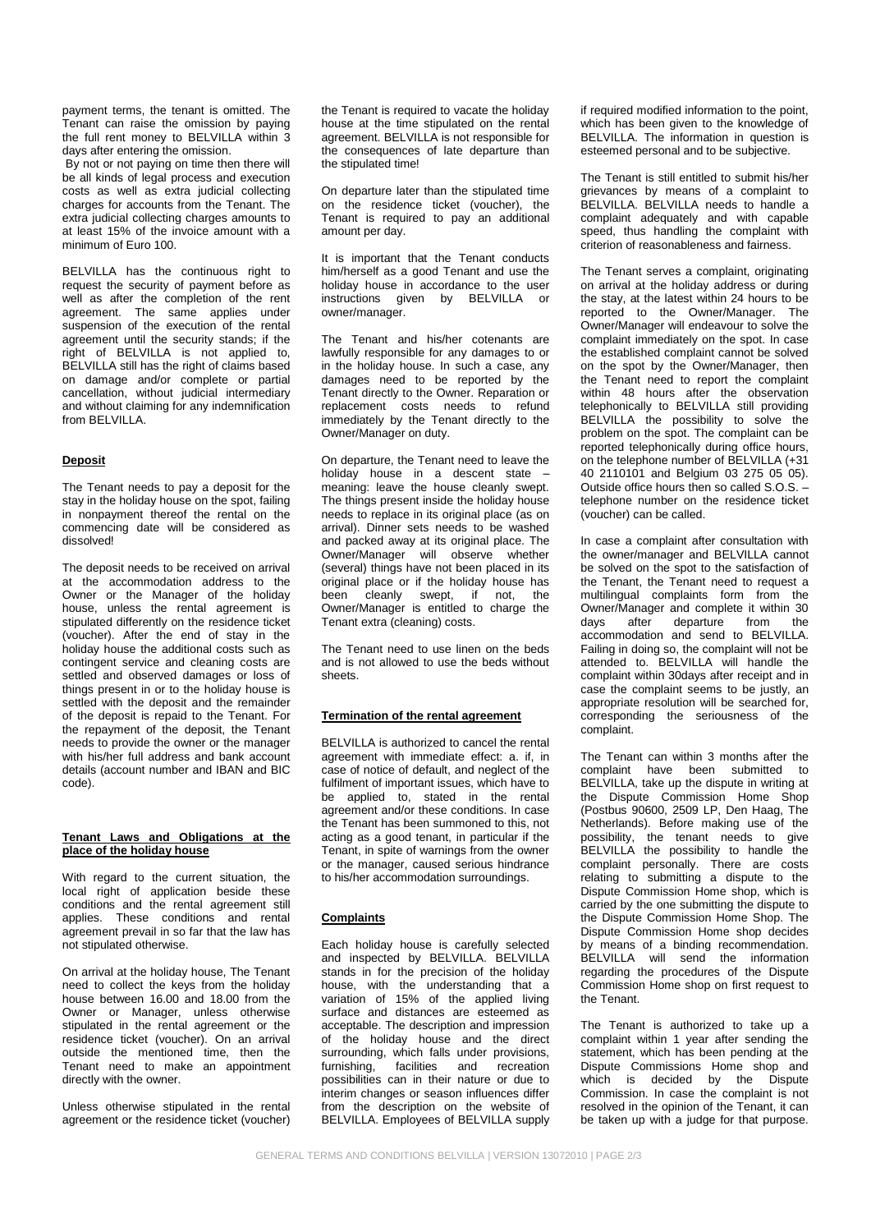payment terms, the tenant is omitted. The Tenant can raise the omission by paying the full rent money to BELVILLA within 3 days after entering the omission.

By not or not paying on time then there will be all kinds of legal process and execution costs as well as extra judicial collecting charges for accounts from the Tenant. The extra judicial collecting charges amounts to at least 15% of the invoice amount with a minimum of Euro 100.

BELVILLA has the continuous right to request the security of payment before as well as after the completion of the rent agreement. The same applies under suspension of the execution of the rental agreement until the security stands; if the right of BELVILLA is not applied to, BELVILLA still has the right of claims based on damage and/or complete or partial cancellation, without judicial intermediary and without claiming for any indemnification from BELVILLA.

### **Deposit**

The Tenant needs to pay a deposit for the stay in the holiday house on the spot, failing in nonpayment thereof the rental on the commencing date will be considered as dissolved!

The deposit needs to be received on arrival at the accommodation address to the Owner or the Manager of the holiday house, unless the rental agreement is stipulated differently on the residence ticket (voucher). After the end of stay in the holiday house the additional costs such as contingent service and cleaning costs are settled and observed damages or loss of things present in or to the holiday house is settled with the deposit and the remainder of the deposit is repaid to the Tenant. For the repayment of the deposit, the Tenant needs to provide the owner or the manager with his/her full address and bank account details (account number and IBAN and BIC code).

#### **Tenant Laws and Obligations at the place of the holiday house**

With regard to the current situation, the local right of application beside these conditions and the rental agreement still applies. These conditions and rental agreement prevail in so far that the law has not stipulated otherwise.

On arrival at the holiday house, The Tenant need to collect the keys from the holiday house between 16.00 and 18.00 from the Owner or Manager, unless otherwise stipulated in the rental agreement or the residence ticket (voucher). On an arrival outside the mentioned time, then the Tenant need to make an appointment directly with the owner.

Unless otherwise stipulated in the rental agreement or the residence ticket (voucher)

the Tenant is required to vacate the holiday house at the time stipulated on the rental agreement. BELVILLA is not responsible for the consequences of late departure than the stipulated time!

On departure later than the stipulated time on the residence ticket (voucher), the Tenant is required to pay an additional amount per day.

It is important that the Tenant conducts him/herself as a good Tenant and use the holiday house in accordance to the user instructions given by BELVILLA or owner/manager.

The Tenant and his/her cotenants are lawfully responsible for any damages to or in the holiday house. In such a case, any damages need to be reported by the Tenant directly to the Owner. Reparation or replacement costs needs to refund immediately by the Tenant directly to the Owner/Manager on duty.

On departure, the Tenant need to leave the holiday house in a descent state – meaning: leave the house cleanly swept. The things present inside the holiday house needs to replace in its original place (as on arrival). Dinner sets needs to be washed and packed away at its original place. The Owner/Manager will observe whether (several) things have not been placed in its original place or if the holiday house has been cleanly swept, if not, the Owner/Manager is entitled to charge the Tenant extra (cleaning) costs.

The Tenant need to use linen on the beds and is not allowed to use the beds without sheets.

## **Termination of the rental agreement**

BELVILLA is authorized to cancel the rental agreement with immediate effect: a. if, in case of notice of default, and neglect of the fulfilment of important issues, which have to be applied to, stated in the rental agreement and/or these conditions. In case the Tenant has been summoned to this, not acting as a good tenant, in particular if the Tenant, in spite of warnings from the owner or the manager, caused serious hindrance to his/her accommodation surroundings.

### **Complaints**

Each holiday house is carefully selected and inspected by BELVILLA. BELVILLA stands in for the precision of the holiday house, with the understanding that a variation of 15% of the applied living surface and distances are esteemed as acceptable. The description and impression of the holiday house and the direct surrounding, which falls under provisions, furnishing, facilities and recreation possibilities can in their nature or due to interim changes or season influences differ from the description on the website of BELVILLA. Employees of BELVILLA supply if required modified information to the point, which has been given to the knowledge of BELVILLA. The information in question is esteemed personal and to be subjective.

The Tenant is still entitled to submit his/her grievances by means of a complaint to BELVILLA. BELVILLA needs to handle a complaint adequately and with capable speed, thus handling the complaint with criterion of reasonableness and fairness.

The Tenant serves a complaint, originating on arrival at the holiday address or during the stay, at the latest within 24 hours to be reported to the Owner/Manager. The Owner/Manager will endeavour to solve the complaint immediately on the spot. In case the established complaint cannot be solved on the spot by the Owner/Manager, then the Tenant need to report the complaint within 48 hours after the observation telephonically to BELVILLA still providing BELVILLA the possibility to solve the problem on the spot. The complaint can be reported telephonically during office hours, on the telephone number of BELVILLA (+31 40 2110101 and Belgium 03 275 05 05). Outside office hours then so called S.O.S. – telephone number on the residence ticket (voucher) can be called.

In case a complaint after consultation with the owner/manager and BELVILLA cannot be solved on the spot to the satisfaction of the Tenant, the Tenant need to request a multilingual complaints form from the Owner/Manager and complete it within 30<br>
days after departure from the days after departure from accommodation and send to BELVILLA. Failing in doing so, the complaint will not be attended to. BELVILLA will handle the complaint within 30days after receipt and in case the complaint seems to be justly, an appropriate resolution will be searched for, corresponding the seriousness of the complaint.

The Tenant can within 3 months after the complaint have been submitted to BELVILLA, take up the dispute in writing at the Dispute Commission Home Shop (Postbus 90600, 2509 LP, Den Haag, The Netherlands). Before making use of the possibility, the tenant needs to give BELVILLA the possibility to handle the complaint personally. There are costs relating to submitting a dispute to the Dispute Commission Home shop, which is carried by the one submitting the dispute to the Dispute Commission Home Shop. The Dispute Commission Home shop decides by means of a binding recommendation. BELVILLA will send the information regarding the procedures of the Dispute Commission Home shop on first request to the Tenant.

The Tenant is authorized to take up a complaint within 1 year after sending the statement, which has been pending at the Dispute Commissions Home shop and which is decided by the Dispute Commission. In case the complaint is not resolved in the opinion of the Tenant, it can be taken up with a judge for that purpose.